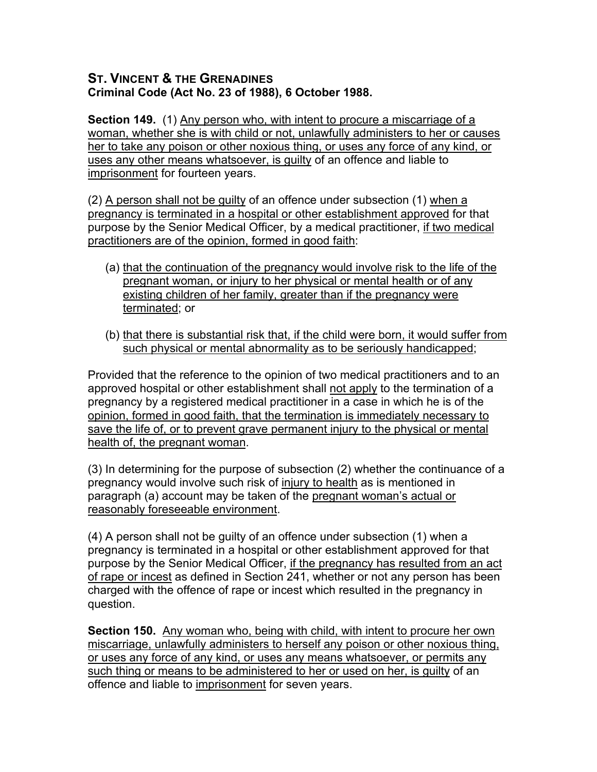## **ST. VINCENT & THE GRENADINES Criminal Code (Act No. 23 of 1988), 6 October 1988.**

**Section 149.** (1) Any person who, with intent to procure a miscarriage of a woman, whether she is with child or not, unlawfully administers to her or causes her to take any poison or other noxious thing, or uses any force of any kind, or uses any other means whatsoever, is guilty of an offence and liable to imprisonment for fourteen years.

(2) A person shall not be guilty of an offence under subsection (1) when a pregnancy is terminated in a hospital or other establishment approved for that purpose by the Senior Medical Officer, by a medical practitioner, if two medical practitioners are of the opinion, formed in good faith:

- (a) that the continuation of the pregnancy would involve risk to the life of the pregnant woman, or injury to her physical or mental health or of any existing children of her family, greater than if the pregnancy were terminated; or
- (b) that there is substantial risk that, if the child were born, it would suffer from such physical or mental abnormality as to be seriously handicapped;

Provided that the reference to the opinion of two medical practitioners and to an approved hospital or other establishment shall not apply to the termination of a pregnancy by a registered medical practitioner in a case in which he is of the opinion, formed in good faith, that the termination is immediately necessary to save the life of, or to prevent grave permanent injury to the physical or mental health of, the pregnant woman.

(3) In determining for the purpose of subsection (2) whether the continuance of a pregnancy would involve such risk of injury to health as is mentioned in paragraph (a) account may be taken of the pregnant woman's actual or reasonably foreseeable environment.

(4) A person shall not be guilty of an offence under subsection (1) when a pregnancy is terminated in a hospital or other establishment approved for that purpose by the Senior Medical Officer, if the pregnancy has resulted from an act of rape or incest as defined in Section 241, whether or not any person has been charged with the offence of rape or incest which resulted in the pregnancy in question.

**Section 150.** Any woman who, being with child, with intent to procure her own miscarriage, unlawfully administers to herself any poison or other noxious thing, or uses any force of any kind, or uses any means whatsoever, or permits any such thing or means to be administered to her or used on her, is guilty of an offence and liable to imprisonment for seven years.